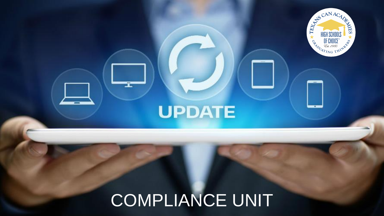# COMPLIANCE UNIT

UPDATE

Ï

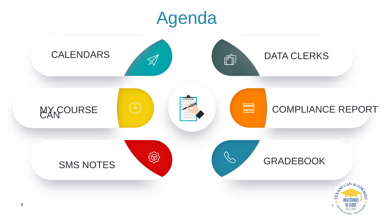

# Agenda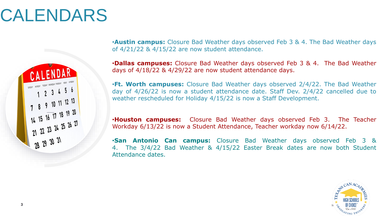

# CALENDARS



•**Austin campus:** Closure Bad Weather days observed Feb 3 & 4. The Bad Weather days of 4/21/22 & 4/15/22 are now student attendance.

•**Dallas campuses:** Closure Bad Weather days observed Feb 3 & 4. The Bad Weather days of 4/18/22 & 4/29/22 are now student attendance days.

•**Ft. Worth campuses:** Closure Bad Weather days observed 2/4/22. The Bad Weather day of 4/26/22 is now a student attendance date. Staff Dev. 2/4/22 cancelled due to weather rescheduled for Holiday 4/15/22 is now a Staff Development.

•**Houston campuses:** Closure Bad Weather days observed Feb 3. The Teacher Workday 6/13/22 is now a Student Attendance, Teacher workday now 6/14/22.

•**San Antonio Can campus:** Closure Bad Weather days observed Feb 3 & 4. The 3/4/22 Bad Weather & 4/15/22 Easter Break dates are now both Student Attendance dates.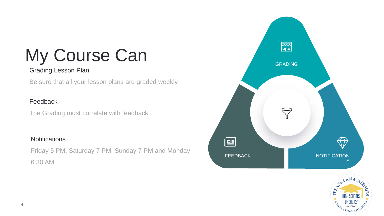

# My Course Can



#### Grading Lesson Plan

Be sure that all your lesson plans are graded weekly

#### Feedback

The Grading must correlate with feedback

#### **Notifications**

Friday 5 PM, Saturday 7 PM, Sunday 7 PM and Monday 6:30 AM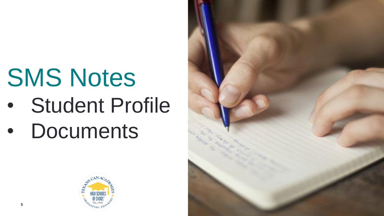

# SMS Notes • Student Profile • Documents

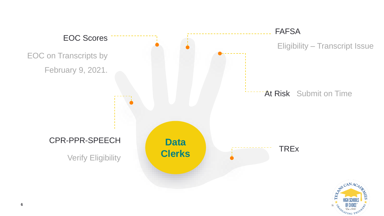



#### FAFSA Eligibility – Transcript Issue

#### At Risk Submit on Time

#### **TREx**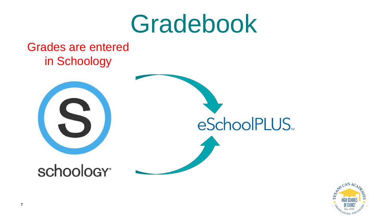

# Gradebook

#### Grades are entered in Schoology



# schoology<sup>®</sup>





# eSchoolPLUS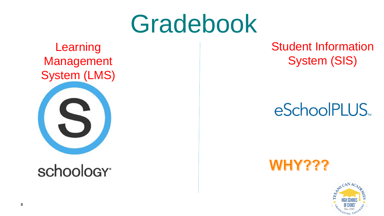

# Gradebook

### Learning Management System (LMS)



# schoology<sup>®</sup>



### Student Information System (SIS)

# eSchoolPLUS.

### WHY???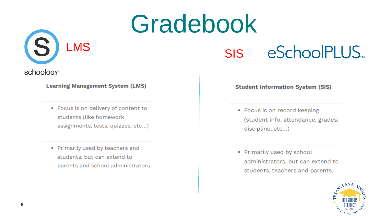





**Learning Management System (LMS)** 

- Focus is on delivery of content to students (like homework assignments, tests, quizzes, etc...)
- Primarily used by teachers and students, but can extend to parents and school administrators.

# eSchoolPLUS.

#### **Student Information System (SIS)**

- Focus is on record keeping (student info, attendance, grades, discipline, etc...)
- Primarily used by school administrators, but can extend to students, teachers and parents.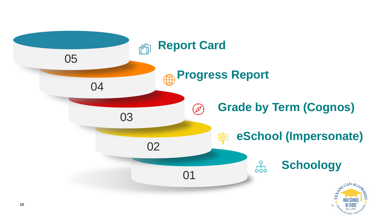

#### $\begin{array}{c}\n0 \\
\hline\n0\n\end{array}$ **Schoology**

## **eSchool (Impersonate)**



# **Grade by Term (Cognos)**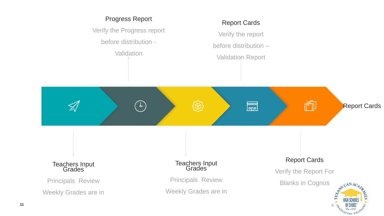Principals Review

Weekly Grades are in

Teachers Input **Grades** 

#### Progress Report

Verify the Progress report

before distribution -

**Validation** 



Principals Review Weekly Grades are in

#### Report Cards

- Verify the report
- before distribution –
- Validation Report

#### Report Cards

#### Verify the Report For



#### Teachers Input **Grades**